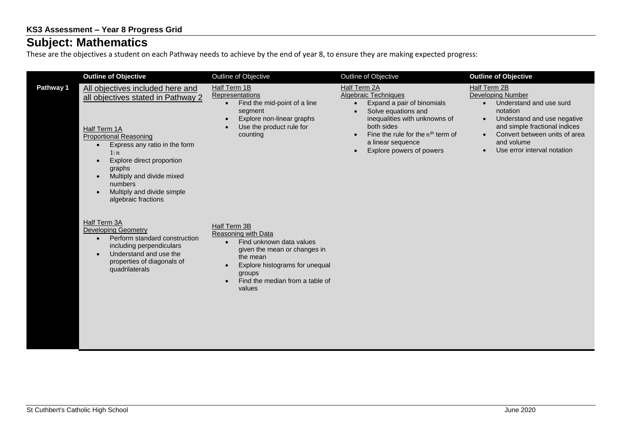## **Subject: Mathematics**

These are the objectives a student on each Pathway needs to achieve by the end of year 8, to ensure they are making expected progress:

|           | <b>Outline of Objective</b>                                                                                                                                                                                                                                                                                                                             | Outline of Objective                                                                                                                                                                                                           | Outline of Objective                                                                                                                                                                                                                                              | <b>Outline of Objective</b>                                                                                                                                                                                                                                          |
|-----------|---------------------------------------------------------------------------------------------------------------------------------------------------------------------------------------------------------------------------------------------------------------------------------------------------------------------------------------------------------|--------------------------------------------------------------------------------------------------------------------------------------------------------------------------------------------------------------------------------|-------------------------------------------------------------------------------------------------------------------------------------------------------------------------------------------------------------------------------------------------------------------|----------------------------------------------------------------------------------------------------------------------------------------------------------------------------------------------------------------------------------------------------------------------|
| Pathway 1 | All objectives included here and<br>all objectives stated in Pathway 2<br>Half Term 1A<br><b>Proportional Reasoning</b><br>Express any ratio in the form<br>$\bullet$<br>1:n<br>Explore direct proportion<br>$\bullet$<br>graphs<br>Multiply and divide mixed<br>$\bullet$<br>numbers<br>Multiply and divide simple<br>$\bullet$<br>algebraic fractions | Half Term 1B<br><b>Representations</b><br>Find the mid-point of a line<br>$\bullet$<br>segment<br>Explore non-linear graphs<br>Use the product rule for<br>counting                                                            | Half Term 2A<br><b>Algebraic Techniques</b><br>Expand a pair of binomials<br>$\bullet$<br>Solve equations and<br>inequalities with unknowns of<br>both sides<br>Fine the rule for the $nth$ term of<br>a linear sequence<br>Explore powers of powers<br>$\bullet$ | Half Term 2B<br><b>Developing Number</b><br>Understand and use surd<br>$\bullet$<br>notation<br>Understand and use negative<br>$\bullet$<br>and simple fractional indices<br>Convert between units of area<br>and volume<br>Use error interval notation<br>$\bullet$ |
|           | Half Term 3A<br><b>Developing Geometry</b><br>Perform standard construction<br>$\bullet$<br>including perpendiculars<br>Understand and use the<br>$\bullet$<br>properties of diagonals of<br>quadrilaterals                                                                                                                                             | Half Term 3B<br>Reasoning with Data<br>Find unknown data values<br>$\bullet$<br>given the mean or changes in<br>the mean<br>Explore histograms for unequal<br>groups<br>Find the median from a table of<br>$\bullet$<br>values |                                                                                                                                                                                                                                                                   |                                                                                                                                                                                                                                                                      |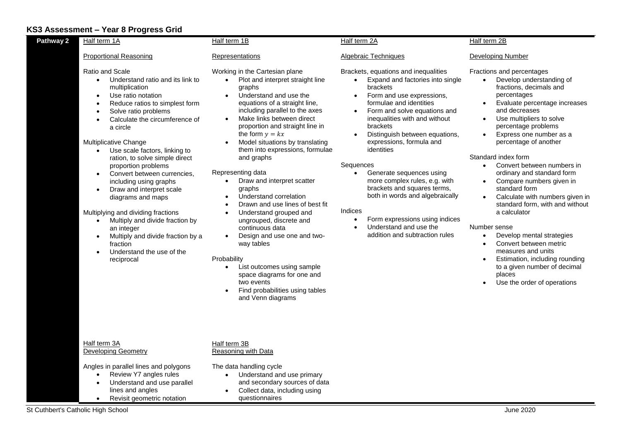## **KS3 Assessment – Year 8 Progress Grid**

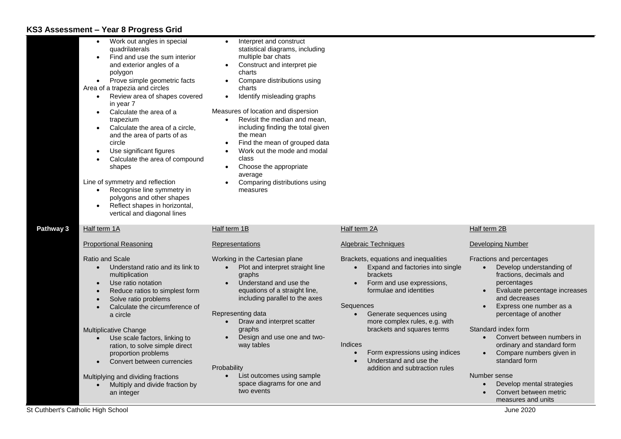## **KS3 Assessment – Year 8 Progress Grid**

|           | Work out angles in special<br>quadrilaterals<br>Find and use the sum interior<br>and exterior angles of a<br>polygon<br>Prove simple geometric facts<br>$\bullet$<br>Area of a trapezia and circles<br>Review area of shapes covered<br>$\bullet$<br>in year 7<br>Calculate the area of a<br>trapezium<br>Calculate the area of a circle,<br>and the area of parts of as<br>circle<br>Use significant figures<br>Calculate the area of compound<br>shapes<br>Line of symmetry and reflection<br>Recognise line symmetry in<br>$\bullet$<br>polygons and other shapes<br>Reflect shapes in horizontal,<br>vertical and diagonal lines | Interpret and construct<br>statistical diagrams, including<br>multiple bar chats<br>Construct and interpret pie<br>charts<br>Compare distributions using<br>charts<br>Identify misleading graphs<br>$\bullet$<br>Measures of location and dispersion<br>Revisit the median and mean,<br>including finding the total given<br>the mean<br>Find the mean of grouped data<br>$\bullet$<br>Work out the mode and modal<br>class<br>Choose the appropriate<br>average<br>Comparing distributions using<br>measures |                                                                                                                                                                                                                                                                                                                                                                                   |                                                                                                                                                                                                                                                                                                                                                                                                                                                                                        |
|-----------|--------------------------------------------------------------------------------------------------------------------------------------------------------------------------------------------------------------------------------------------------------------------------------------------------------------------------------------------------------------------------------------------------------------------------------------------------------------------------------------------------------------------------------------------------------------------------------------------------------------------------------------|---------------------------------------------------------------------------------------------------------------------------------------------------------------------------------------------------------------------------------------------------------------------------------------------------------------------------------------------------------------------------------------------------------------------------------------------------------------------------------------------------------------|-----------------------------------------------------------------------------------------------------------------------------------------------------------------------------------------------------------------------------------------------------------------------------------------------------------------------------------------------------------------------------------|----------------------------------------------------------------------------------------------------------------------------------------------------------------------------------------------------------------------------------------------------------------------------------------------------------------------------------------------------------------------------------------------------------------------------------------------------------------------------------------|
| Pathway 3 | Half term 1A                                                                                                                                                                                                                                                                                                                                                                                                                                                                                                                                                                                                                         | Half term 1B                                                                                                                                                                                                                                                                                                                                                                                                                                                                                                  | Half term 2A                                                                                                                                                                                                                                                                                                                                                                      | Half term 2B                                                                                                                                                                                                                                                                                                                                                                                                                                                                           |
|           | <b>Proportional Reasoning</b>                                                                                                                                                                                                                                                                                                                                                                                                                                                                                                                                                                                                        | Representations                                                                                                                                                                                                                                                                                                                                                                                                                                                                                               | Algebraic Techniques                                                                                                                                                                                                                                                                                                                                                              | Developing Number                                                                                                                                                                                                                                                                                                                                                                                                                                                                      |
|           | Ratio and Scale<br>Understand ratio and its link to<br>$\bullet$<br>multiplication<br>Use ratio notation<br>Reduce ratios to simplest form<br>Solve ratio problems<br>Calculate the circumference of<br>a circle<br>Multiplicative Change<br>Use scale factors, linking to<br>ration, to solve simple direct<br>proportion problems<br>Convert between currencies<br>Multiplying and dividing fractions<br>Multiply and divide fraction by<br>an integer                                                                                                                                                                             | Working in the Cartesian plane<br>Plot and interpret straight line<br>graphs<br>Understand and use the<br>equations of a straight line,<br>including parallel to the axes<br>Representing data<br>Draw and interpret scatter<br>graphs<br>Design and use one and two-<br>way tables<br>Probability<br>List outcomes using sample<br>space diagrams for one and<br>two events                                                                                                                                  | Brackets, equations and inequalities<br>Expand and factories into single<br>$\bullet$<br><b>brackets</b><br>Form and use expressions,<br>formulae and identities<br>Sequences<br>Generate sequences using<br>more complex rules, e.g. with<br>brackets and squares terms<br>Indices<br>Form expressions using indices<br>Understand and use the<br>addition and subtraction rules | Fractions and percentages<br>Develop understanding of<br>$\bullet$<br>fractions, decimals and<br>percentages<br>Evaluate percentage increases<br>and decreases<br>Express one number as a<br>percentage of another<br>Standard index form<br>Convert between numbers in<br>$\bullet$<br>ordinary and standard form<br>Compare numbers given in<br>$\bullet$<br>standard form<br>Number sense<br>Develop mental strategies<br>$\bullet$<br>Convert between metric<br>measures and units |